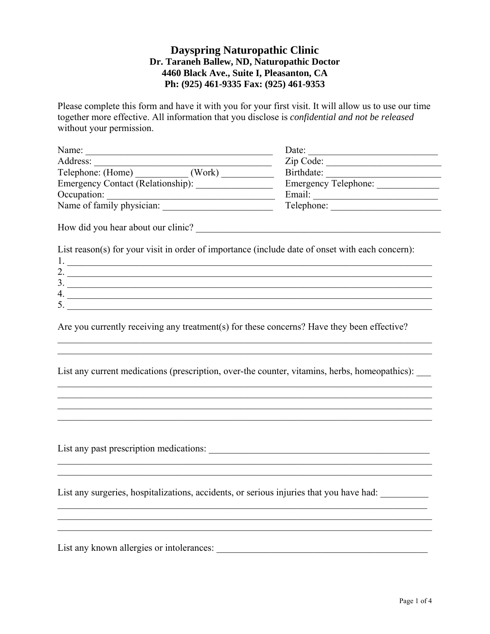# **Dayspring Naturopathic Clinic Dr. Taraneh Ballew, ND, Naturopathic Doctor 4460 Black Ave., Suite I, Pleasanton, CA Ph: (925) 461-9335 Fax: (925) 461-9353**

Please complete this form and have it with you for your first visit. It will allow us to use our time together more effective. All information that you disclose is *confidential and not be released* without your permission.

| Name:                                                                                           | Date:<br>the control of the control of the control of the control of the control of |
|-------------------------------------------------------------------------------------------------|-------------------------------------------------------------------------------------|
| Address:<br><u> 1989 - Johann John Stein, marwolaethau (b. 1989)</u>                            | Zip Code:                                                                           |
| Telephone: (Home) (Work)                                                                        | Birthdate:                                                                          |
|                                                                                                 |                                                                                     |
| Occupation:                                                                                     |                                                                                     |
| Occupation: <u>University physician:</u>                                                        | Telephone:                                                                          |
|                                                                                                 |                                                                                     |
| List reason(s) for your visit in order of importance (include date of onset with each concern): |                                                                                     |
|                                                                                                 |                                                                                     |
| 2. $\overline{\phantom{a}}$<br>$\frac{3}{2}$                                                    |                                                                                     |
|                                                                                                 |                                                                                     |
| 5.                                                                                              |                                                                                     |
|                                                                                                 |                                                                                     |
| Are you currently receiving any treatment(s) for these concerns? Have they been effective?      |                                                                                     |
|                                                                                                 |                                                                                     |
| List any current medications (prescription, over-the counter, vitamins, herbs, homeopathics):   |                                                                                     |
|                                                                                                 |                                                                                     |
|                                                                                                 |                                                                                     |
|                                                                                                 |                                                                                     |
|                                                                                                 |                                                                                     |
| List any surgeries, hospitalizations, accidents, or serious injuries that you have had:         |                                                                                     |
|                                                                                                 |                                                                                     |
| List any known allergies or intolerances:                                                       |                                                                                     |
|                                                                                                 |                                                                                     |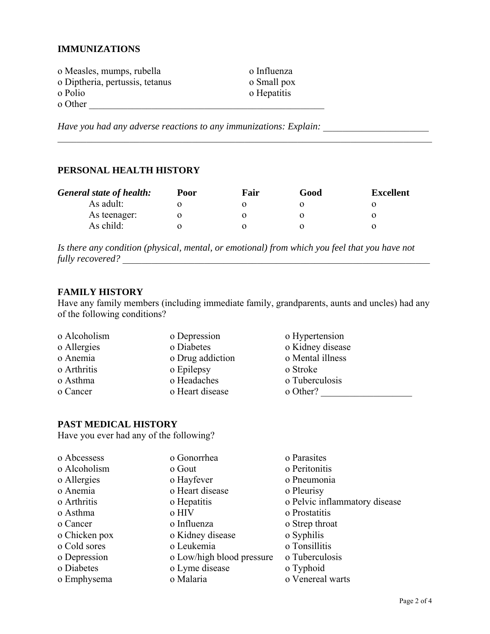### **IMMUNIZATIONS**

| o Measles, mumps, rubella       | o Influenza |
|---------------------------------|-------------|
| o Diptheria, pertussis, tetanus | o Small pox |
| o Polio                         | o Hepatitis |
| o Other                         |             |

Have you had any adverse reactions to any immunizations: Explain: \_\_\_\_\_\_\_\_\_\_\_\_\_\_\_

### PERSONAL HEALTH HISTORY

| <b>General state of health:</b> | Poor | Fair | Good | <b>Excellent</b> |
|---------------------------------|------|------|------|------------------|
| As adult:                       |      |      |      |                  |
| As teenager:                    |      |      |      |                  |
| As child:                       |      |      |      |                  |

Is there any condition (physical, mental, or emotional) from which you feel that you have not 

## **FAMILY HISTORY**

Have any family members (including immediate family, grandparents, aunts and uncles) had any of the following conditions?

| o Alcoholism | o Depression     | o Hypertension   |  |
|--------------|------------------|------------------|--|
| o Allergies  | o Diabetes       | o Kidney disease |  |
| o Anemia     | o Drug addiction | o Mental illness |  |
| o Arthritis  | o Epilepsy       | o Stroke         |  |
| o Asthma     | o Headaches      | o Tuberculosis   |  |
| o Cancer     | o Heart disease  | o Other?         |  |

# PAST MEDICAL HISTORY

Have you ever had any of the following?

| o Abcessess   | o Gonorrhea               | o Parasites                   |
|---------------|---------------------------|-------------------------------|
| o Alcoholism  | o Gout                    | o Peritonitis                 |
| o Allergies   | o Hayfever                | o Pneumonia                   |
| o Anemia      | o Heart disease           | o Pleurisy                    |
| o Arthritis   | o Hepatitis               | o Pelvic inflammatory disease |
| o Asthma      | o HIV                     | o Prostatitis                 |
| o Cancer      | o Influenza               | o Strep throat                |
| o Chicken pox | o Kidney disease          | o Syphilis                    |
| o Cold sores  | o Leukemia                | o Tonsillitis                 |
| o Depression  | o Low/high blood pressure | o Tuberculosis                |
| o Diabetes    | o Lyme disease            | o Typhoid                     |
| o Emphysema   | o Malaria                 | o Venereal warts              |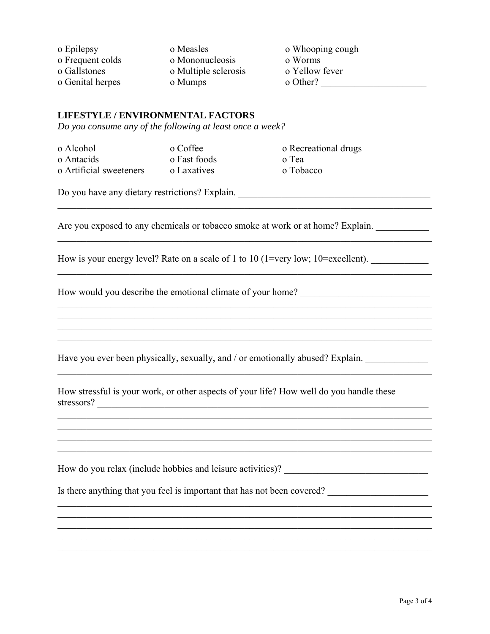| o Epilepsy       | o Measles            | o Whooping cough |
|------------------|----------------------|------------------|
| o Frequent colds | o Mononucleosis      | o Worms          |
| o Gallstones     | o Multiple sclerosis | o Yellow fever   |
| o Genital herpes | o Mumps              | o Other?         |

 $\mathcal{L}_\mathcal{L} = \{ \mathcal{L}_\mathcal{L} = \{ \mathcal{L}_\mathcal{L} = \{ \mathcal{L}_\mathcal{L} = \{ \mathcal{L}_\mathcal{L} = \{ \mathcal{L}_\mathcal{L} = \{ \mathcal{L}_\mathcal{L} = \{ \mathcal{L}_\mathcal{L} = \{ \mathcal{L}_\mathcal{L} = \{ \mathcal{L}_\mathcal{L} = \{ \mathcal{L}_\mathcal{L} = \{ \mathcal{L}_\mathcal{L} = \{ \mathcal{L}_\mathcal{L} = \{ \mathcal{L}_\mathcal{L} = \{ \mathcal{L}_\mathcal{$ 

 $\mathcal{L}_\mathcal{L} = \mathcal{L}_\mathcal{L} = \mathcal{L}_\mathcal{L} = \mathcal{L}_\mathcal{L} = \mathcal{L}_\mathcal{L} = \mathcal{L}_\mathcal{L} = \mathcal{L}_\mathcal{L} = \mathcal{L}_\mathcal{L} = \mathcal{L}_\mathcal{L} = \mathcal{L}_\mathcal{L} = \mathcal{L}_\mathcal{L} = \mathcal{L}_\mathcal{L} = \mathcal{L}_\mathcal{L} = \mathcal{L}_\mathcal{L} = \mathcal{L}_\mathcal{L} = \mathcal{L}_\mathcal{L} = \mathcal{L}_\mathcal{L}$ 

 $\mathcal{L}_\mathcal{L} = \mathcal{L}_\mathcal{L} = \mathcal{L}_\mathcal{L} = \mathcal{L}_\mathcal{L} = \mathcal{L}_\mathcal{L} = \mathcal{L}_\mathcal{L} = \mathcal{L}_\mathcal{L} = \mathcal{L}_\mathcal{L} = \mathcal{L}_\mathcal{L} = \mathcal{L}_\mathcal{L} = \mathcal{L}_\mathcal{L} = \mathcal{L}_\mathcal{L} = \mathcal{L}_\mathcal{L} = \mathcal{L}_\mathcal{L} = \mathcal{L}_\mathcal{L} = \mathcal{L}_\mathcal{L} = \mathcal{L}_\mathcal{L}$ 

 $\mathcal{L}_\mathcal{L} = \mathcal{L}_\mathcal{L} = \mathcal{L}_\mathcal{L} = \mathcal{L}_\mathcal{L} = \mathcal{L}_\mathcal{L} = \mathcal{L}_\mathcal{L} = \mathcal{L}_\mathcal{L} = \mathcal{L}_\mathcal{L} = \mathcal{L}_\mathcal{L} = \mathcal{L}_\mathcal{L} = \mathcal{L}_\mathcal{L} = \mathcal{L}_\mathcal{L} = \mathcal{L}_\mathcal{L} = \mathcal{L}_\mathcal{L} = \mathcal{L}_\mathcal{L} = \mathcal{L}_\mathcal{L} = \mathcal{L}_\mathcal{L}$  $\mathcal{L}_\text{max}$  $\mathcal{L}_\mathcal{L} = \mathcal{L}_\mathcal{L} = \mathcal{L}_\mathcal{L} = \mathcal{L}_\mathcal{L} = \mathcal{L}_\mathcal{L} = \mathcal{L}_\mathcal{L} = \mathcal{L}_\mathcal{L} = \mathcal{L}_\mathcal{L} = \mathcal{L}_\mathcal{L} = \mathcal{L}_\mathcal{L} = \mathcal{L}_\mathcal{L} = \mathcal{L}_\mathcal{L} = \mathcal{L}_\mathcal{L} = \mathcal{L}_\mathcal{L} = \mathcal{L}_\mathcal{L} = \mathcal{L}_\mathcal{L} = \mathcal{L}_\mathcal{L}$  $\mathcal{L}_\mathcal{L} = \mathcal{L}_\mathcal{L} = \mathcal{L}_\mathcal{L} = \mathcal{L}_\mathcal{L} = \mathcal{L}_\mathcal{L} = \mathcal{L}_\mathcal{L} = \mathcal{L}_\mathcal{L} = \mathcal{L}_\mathcal{L} = \mathcal{L}_\mathcal{L} = \mathcal{L}_\mathcal{L} = \mathcal{L}_\mathcal{L} = \mathcal{L}_\mathcal{L} = \mathcal{L}_\mathcal{L} = \mathcal{L}_\mathcal{L} = \mathcal{L}_\mathcal{L} = \mathcal{L}_\mathcal{L} = \mathcal{L}_\mathcal{L}$ 

 $\mathcal{L}_\mathcal{L} = \mathcal{L}_\mathcal{L} = \mathcal{L}_\mathcal{L} = \mathcal{L}_\mathcal{L} = \mathcal{L}_\mathcal{L} = \mathcal{L}_\mathcal{L} = \mathcal{L}_\mathcal{L} = \mathcal{L}_\mathcal{L} = \mathcal{L}_\mathcal{L} = \mathcal{L}_\mathcal{L} = \mathcal{L}_\mathcal{L} = \mathcal{L}_\mathcal{L} = \mathcal{L}_\mathcal{L} = \mathcal{L}_\mathcal{L} = \mathcal{L}_\mathcal{L} = \mathcal{L}_\mathcal{L} = \mathcal{L}_\mathcal{L}$ 

 $\mathcal{L}_\mathcal{L} = \{ \mathcal{L}_\mathcal{L} = \{ \mathcal{L}_\mathcal{L} = \{ \mathcal{L}_\mathcal{L} = \{ \mathcal{L}_\mathcal{L} = \{ \mathcal{L}_\mathcal{L} = \{ \mathcal{L}_\mathcal{L} = \{ \mathcal{L}_\mathcal{L} = \{ \mathcal{L}_\mathcal{L} = \{ \mathcal{L}_\mathcal{L} = \{ \mathcal{L}_\mathcal{L} = \{ \mathcal{L}_\mathcal{L} = \{ \mathcal{L}_\mathcal{L} = \{ \mathcal{L}_\mathcal{L} = \{ \mathcal{L}_\mathcal{$  $\mathcal{L}_\mathcal{L} = \mathcal{L}_\mathcal{L} = \mathcal{L}_\mathcal{L} = \mathcal{L}_\mathcal{L} = \mathcal{L}_\mathcal{L} = \mathcal{L}_\mathcal{L} = \mathcal{L}_\mathcal{L} = \mathcal{L}_\mathcal{L} = \mathcal{L}_\mathcal{L} = \mathcal{L}_\mathcal{L} = \mathcal{L}_\mathcal{L} = \mathcal{L}_\mathcal{L} = \mathcal{L}_\mathcal{L} = \mathcal{L}_\mathcal{L} = \mathcal{L}_\mathcal{L} = \mathcal{L}_\mathcal{L} = \mathcal{L}_\mathcal{L}$  $\mathcal{L}_\mathcal{L} = \mathcal{L}_\mathcal{L} = \mathcal{L}_\mathcal{L} = \mathcal{L}_\mathcal{L} = \mathcal{L}_\mathcal{L} = \mathcal{L}_\mathcal{L} = \mathcal{L}_\mathcal{L} = \mathcal{L}_\mathcal{L} = \mathcal{L}_\mathcal{L} = \mathcal{L}_\mathcal{L} = \mathcal{L}_\mathcal{L} = \mathcal{L}_\mathcal{L} = \mathcal{L}_\mathcal{L} = \mathcal{L}_\mathcal{L} = \mathcal{L}_\mathcal{L} = \mathcal{L}_\mathcal{L} = \mathcal{L}_\mathcal{L}$  $\mathcal{L}_\mathcal{L} = \mathcal{L}_\mathcal{L} = \mathcal{L}_\mathcal{L} = \mathcal{L}_\mathcal{L} = \mathcal{L}_\mathcal{L} = \mathcal{L}_\mathcal{L} = \mathcal{L}_\mathcal{L} = \mathcal{L}_\mathcal{L} = \mathcal{L}_\mathcal{L} = \mathcal{L}_\mathcal{L} = \mathcal{L}_\mathcal{L} = \mathcal{L}_\mathcal{L} = \mathcal{L}_\mathcal{L} = \mathcal{L}_\mathcal{L} = \mathcal{L}_\mathcal{L} = \mathcal{L}_\mathcal{L} = \mathcal{L}_\mathcal{L}$ 

 $\mathcal{L}_\mathcal{L} = \mathcal{L}_\mathcal{L} = \mathcal{L}_\mathcal{L} = \mathcal{L}_\mathcal{L} = \mathcal{L}_\mathcal{L} = \mathcal{L}_\mathcal{L} = \mathcal{L}_\mathcal{L} = \mathcal{L}_\mathcal{L} = \mathcal{L}_\mathcal{L} = \mathcal{L}_\mathcal{L} = \mathcal{L}_\mathcal{L} = \mathcal{L}_\mathcal{L} = \mathcal{L}_\mathcal{L} = \mathcal{L}_\mathcal{L} = \mathcal{L}_\mathcal{L} = \mathcal{L}_\mathcal{L} = \mathcal{L}_\mathcal{L}$  $\mathcal{L}_\mathcal{L} = \mathcal{L}_\mathcal{L} = \mathcal{L}_\mathcal{L} = \mathcal{L}_\mathcal{L} = \mathcal{L}_\mathcal{L} = \mathcal{L}_\mathcal{L} = \mathcal{L}_\mathcal{L} = \mathcal{L}_\mathcal{L} = \mathcal{L}_\mathcal{L} = \mathcal{L}_\mathcal{L} = \mathcal{L}_\mathcal{L} = \mathcal{L}_\mathcal{L} = \mathcal{L}_\mathcal{L} = \mathcal{L}_\mathcal{L} = \mathcal{L}_\mathcal{L} = \mathcal{L}_\mathcal{L} = \mathcal{L}_\mathcal{L}$  $\mathcal{L}_\mathcal{L} = \{ \mathcal{L}_\mathcal{L} = \{ \mathcal{L}_\mathcal{L} = \{ \mathcal{L}_\mathcal{L} = \{ \mathcal{L}_\mathcal{L} = \{ \mathcal{L}_\mathcal{L} = \{ \mathcal{L}_\mathcal{L} = \{ \mathcal{L}_\mathcal{L} = \{ \mathcal{L}_\mathcal{L} = \{ \mathcal{L}_\mathcal{L} = \{ \mathcal{L}_\mathcal{L} = \{ \mathcal{L}_\mathcal{L} = \{ \mathcal{L}_\mathcal{L} = \{ \mathcal{L}_\mathcal{L} = \{ \mathcal{L}_\mathcal{$ 

 $\mathcal{L}_\mathcal{L} = \mathcal{L}_\mathcal{L} = \mathcal{L}_\mathcal{L} = \mathcal{L}_\mathcal{L} = \mathcal{L}_\mathcal{L} = \mathcal{L}_\mathcal{L} = \mathcal{L}_\mathcal{L} = \mathcal{L}_\mathcal{L} = \mathcal{L}_\mathcal{L} = \mathcal{L}_\mathcal{L} = \mathcal{L}_\mathcal{L} = \mathcal{L}_\mathcal{L} = \mathcal{L}_\mathcal{L} = \mathcal{L}_\mathcal{L} = \mathcal{L}_\mathcal{L} = \mathcal{L}_\mathcal{L} = \mathcal{L}_\mathcal{L}$ 

### **LIFESTYLE / ENVIRONMENTAL FACTORS**

*Do you consume any of the following at least once a week?* 

о Alcohol о Coffee о Recreational drugs о Antacids о Fast foods о Tea о Artificial sweeteners о Laxatives о Tobacco

Do you have any dietary restrictions? Explain.

Are you exposed to any chemicals or tobacco smoke at work or at home? Explain.

How is your energy level? Rate on a scale of 1 to 10 (1=very low; 10=excellent).

How would you describe the emotional climate of your home?

Have you ever been physically, sexually, and / or emotionally abused? Explain.

How stressful is your work, or other aspects of your life? How well do you handle these stressors?

How do you relax (include hobbies and leisure activities)? \_\_\_\_\_\_\_\_\_\_\_\_\_\_\_\_\_\_\_\_\_\_

Is there anything that you feel is important that has not been covered?